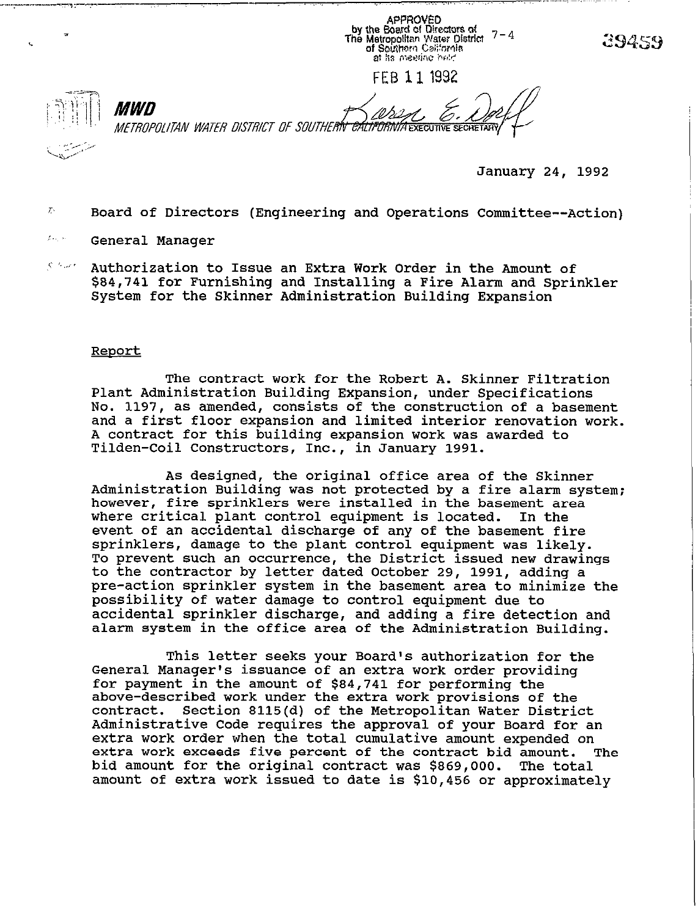APPROVED<br>by the Board of Directors of<br>The Metropolitan Water District 7-4<br>of Southern Celifornis at its meeting held

FEB 1 1 1992



*MWD* METROPOLITAN WATER DISTRICT OF SOUTHERIV <del>CALIFORNIA Executive sech</del>

January 24, 1992

- $\mathcal{T}_i$ Board of Directors (Engineering and Operations Committee--Action)
- $f_{\rm{avg}}$  is: General Manager
- $\mathcal{C}^{(3)}$  and  $\mathcal{C}^{(3)}$ Authorization to Issue an Extra Work Order in the Amount of \$84,141 for Furnishing and Installing a Fire Alarm and Sprinkler System for the Skinner Administration Building Expansion

## **Report**

The contract work for the Robert A. Skinner Filtration Plant Administration Building Expansion, under Specifications No. 1197, as amended, consists of the construction of a basement and a first floor expansion and limited interior renovation work. A contract for this building expansion work was awarded to Tilden-Coil Constructors, Inc., in January 1991.

As designed, the original office area of the Skinner Administration Building was not protected by a fire alarm system; however, fire sprinklers were installed in the basement area<br>where critical plant control equipment is located. In the where critical plant control equipment is located. event of an accidental discharge of any of the basement fire sprinklers, damage to the plant control equipment was likely. To prevent such an occurrence, the District issued new drawings to the contractor by letter dated October 29, 1991, adding a pre-action sprinkler system in the basement area to minimize the possibility of water damage to control equipment due to accidental sprinkler discharge, and adding a fire detection and alarm system in the office area of the Administration Building.

This letter seeks your Board's authorization for the General Manager's issuance of an extra work order providing for payment in the amount of \$84,741 for performing the above-described work under the extra work provisions of the contract. Section 8115(d) of the Metropolitan Water District Administrative Code requires the approval of your Board for an extra work order when the total cumulative amount expended on<br>extra work exceeds five percent of the contract bid amount. The extra work exceeds five percent of the contract bid amount. The total bid amount for the original contract was \$869,000. amount of extra work issued to date is \$10,456 or approximately